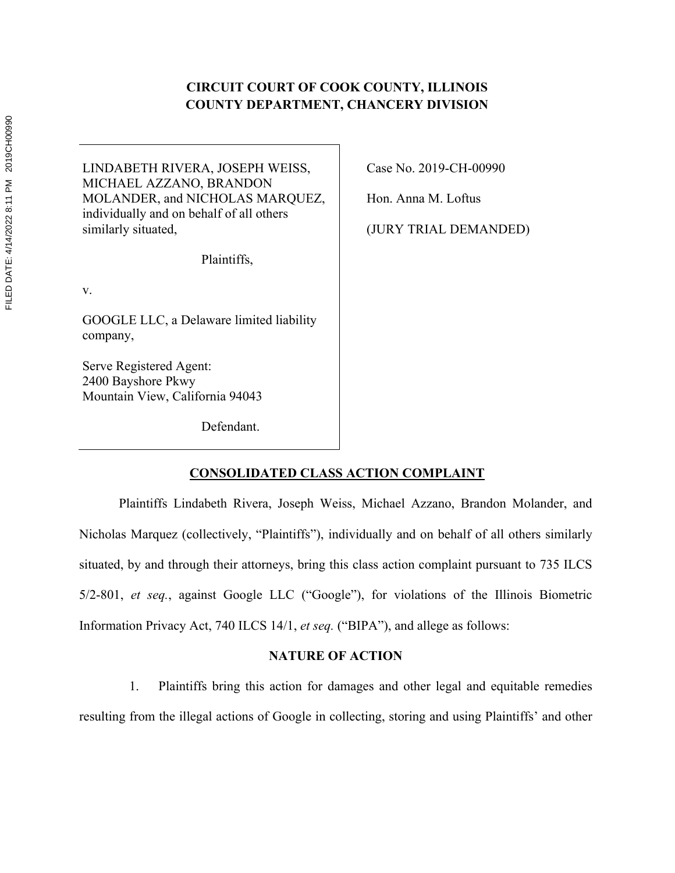# **CIRCUIT COURT OF COOK COUNTY, ILLINOIS COUNTY DEPARTMENT, CHANCERY DIVISION**

LINDABETH RIVERA, JOSEPH WEISS, MICHAEL AZZANO, BRANDON MOLANDER, and NICHOLAS MARQUEZ, individually and on behalf of all others similarly situated,

Plaintiffs,

v.

GOOGLE LLC, a Delaware limited liability company,

Serve Registered Agent: 2400 Bayshore Pkwy Mountain View, California 94043

Defendant.

Case No. 2019-CH-00990

Hon. Anna M. Loftus

(JURY TRIAL DEMANDED)

# **CONSOLIDATED CLASS ACTION COMPLAINT**

Plaintiffs Lindabeth Rivera, Joseph Weiss, Michael Azzano, Brandon Molander, and Nicholas Marquez (collectively, "Plaintiffs"), individually and on behalf of all others similarly situated, by and through their attorneys, bring this class action complaint pursuant to 735 ILCS 5/2-801, *et seq.*, against Google LLC ("Google"), for violations of the Illinois Biometric Information Privacy Act, 740 ILCS 14/1, *et seq.* ("BIPA"), and allege as follows:

# **NATURE OF ACTION**

1. Plaintiffs bring this action for damages and other legal and equitable remedies resulting from the illegal actions of Google in collecting, storing and using Plaintiffs' and other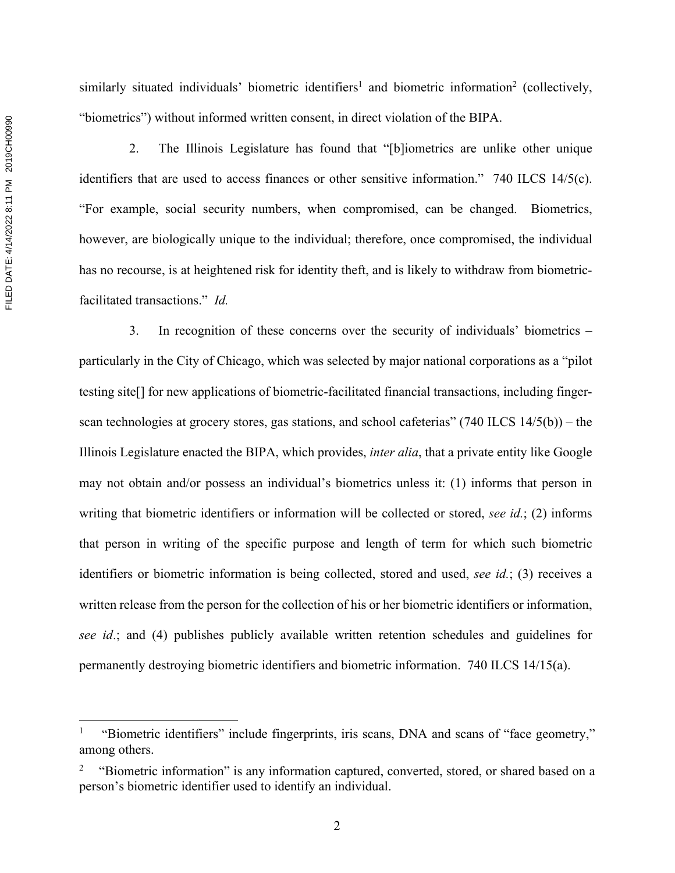similarly situated individuals' biometric identifiers<sup>1</sup> and biometric information<sup>2</sup> (collectively, "biometrics") without informed written consent, in direct violation of the BIPA.

2. The Illinois Legislature has found that "[b]iometrics are unlike other unique identifiers that are used to access finances or other sensitive information." 740 ILCS 14/5(c). "For example, social security numbers, when compromised, can be changed. Biometrics, however, are biologically unique to the individual; therefore, once compromised, the individual has no recourse, is at heightened risk for identity theft, and is likely to withdraw from biometricfacilitated transactions." *Id.*

3. In recognition of these concerns over the security of individuals' biometrics – particularly in the City of Chicago, which was selected by major national corporations as a "pilot testing site[] for new applications of biometric-facilitated financial transactions, including fingerscan technologies at grocery stores, gas stations, and school cafeterias" (740 ILCS 14/5(b)) – the Illinois Legislature enacted the BIPA, which provides, *inter alia*, that a private entity like Google may not obtain and/or possess an individual's biometrics unless it: (1) informs that person in writing that biometric identifiers or information will be collected or stored, *see id.*; (2) informs that person in writing of the specific purpose and length of term for which such biometric identifiers or biometric information is being collected, stored and used, *see id.*; (3) receives a written release from the person for the collection of his or her biometric identifiers or information, *see id*.; and (4) publishes publicly available written retention schedules and guidelines for permanently destroying biometric identifiers and biometric information. 740 ILCS 14/15(a).

<sup>1</sup> "Biometric identifiers" include fingerprints, iris scans, DNA and scans of "face geometry," among others.

<sup>&</sup>quot;Biometric information" is any information captured, converted, stored, or shared based on a person's biometric identifier used to identify an individual.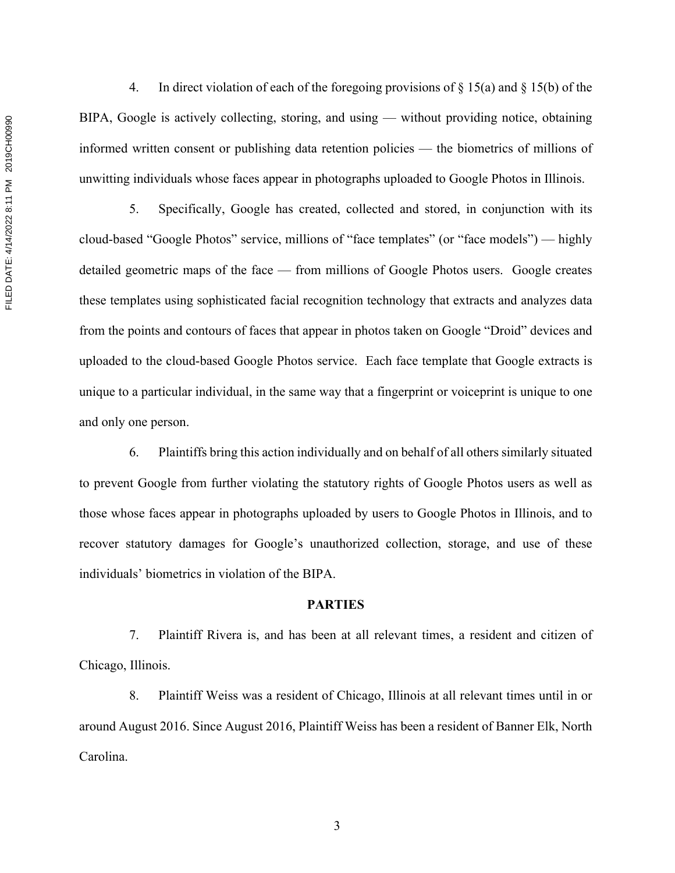4. In direct violation of each of the foregoing provisions of § 15(a) and § 15(b) of the BIPA, Google is actively collecting, storing, and using — without providing notice, obtaining informed written consent or publishing data retention policies — the biometrics of millions of unwitting individuals whose faces appear in photographs uploaded to Google Photos in Illinois.

5. Specifically, Google has created, collected and stored, in conjunction with its cloud-based "Google Photos" service, millions of "face templates" (or "face models") — highly detailed geometric maps of the face — from millions of Google Photos users. Google creates these templates using sophisticated facial recognition technology that extracts and analyzes data from the points and contours of faces that appear in photos taken on Google "Droid" devices and uploaded to the cloud-based Google Photos service. Each face template that Google extracts is unique to a particular individual, in the same way that a fingerprint or voiceprint is unique to one and only one person.

6. Plaintiffs bring this action individually and on behalf of all others similarly situated to prevent Google from further violating the statutory rights of Google Photos users as well as those whose faces appear in photographs uploaded by users to Google Photos in Illinois, and to recover statutory damages for Google's unauthorized collection, storage, and use of these individuals' biometrics in violation of the BIPA.

# **PARTIES**

7. Plaintiff Rivera is, and has been at all relevant times, a resident and citizen of Chicago, Illinois.

8. Plaintiff Weiss was a resident of Chicago, Illinois at all relevant times until in or around August 2016. Since August 2016, Plaintiff Weiss has been a resident of Banner Elk, North Carolina.

FILED DATE: 4/14/2022 8:11 PM 2019CH00990 FILED DATE: 4/14/2022 8:11 PM 2019CH00990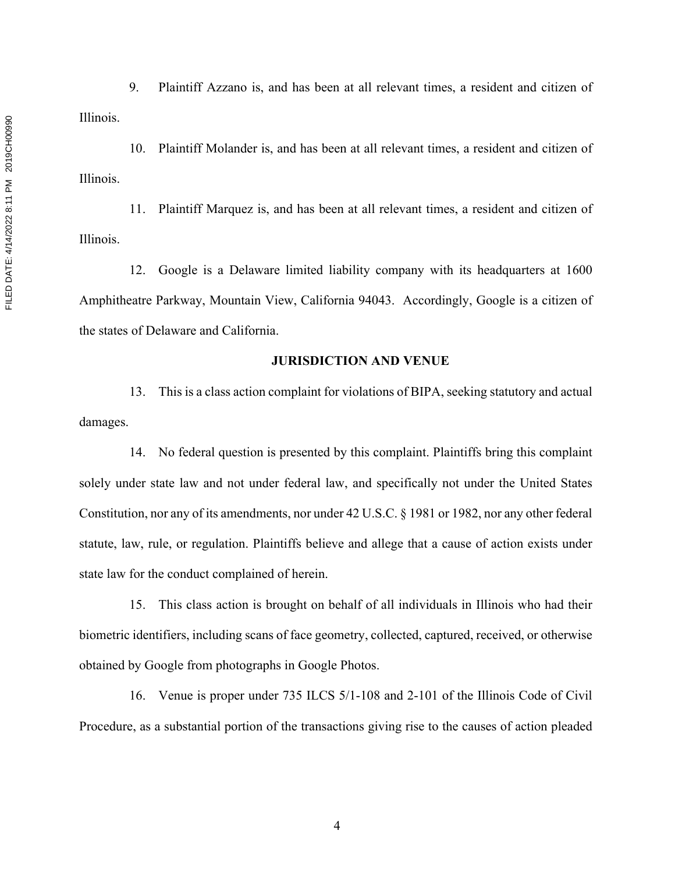9. Plaintiff Azzano is, and has been at all relevant times, a resident and citizen of Illinois.

10. Plaintiff Molander is, and has been at all relevant times, a resident and citizen of Illinois.

11. Plaintiff Marquez is, and has been at all relevant times, a resident and citizen of Illinois.

12. Google is a Delaware limited liability company with its headquarters at 1600 Amphitheatre Parkway, Mountain View, California 94043. Accordingly, Google is a citizen of the states of Delaware and California.

### **JURISDICTION AND VENUE**

13. This is a class action complaint for violations of BIPA, seeking statutory and actual damages.

14. No federal question is presented by this complaint. Plaintiffs bring this complaint solely under state law and not under federal law, and specifically not under the United States Constitution, nor any of its amendments, nor under 42 U.S.C. § 1981 or 1982, nor any other federal statute, law, rule, or regulation. Plaintiffs believe and allege that a cause of action exists under state law for the conduct complained of herein.

15. This class action is brought on behalf of all individuals in Illinois who had their biometric identifiers, including scans of face geometry, collected, captured, received, or otherwise obtained by Google from photographs in Google Photos.

16. Venue is proper under 735 ILCS 5/1-108 and 2-101 of the Illinois Code of Civil Procedure, as a substantial portion of the transactions giving rise to the causes of action pleaded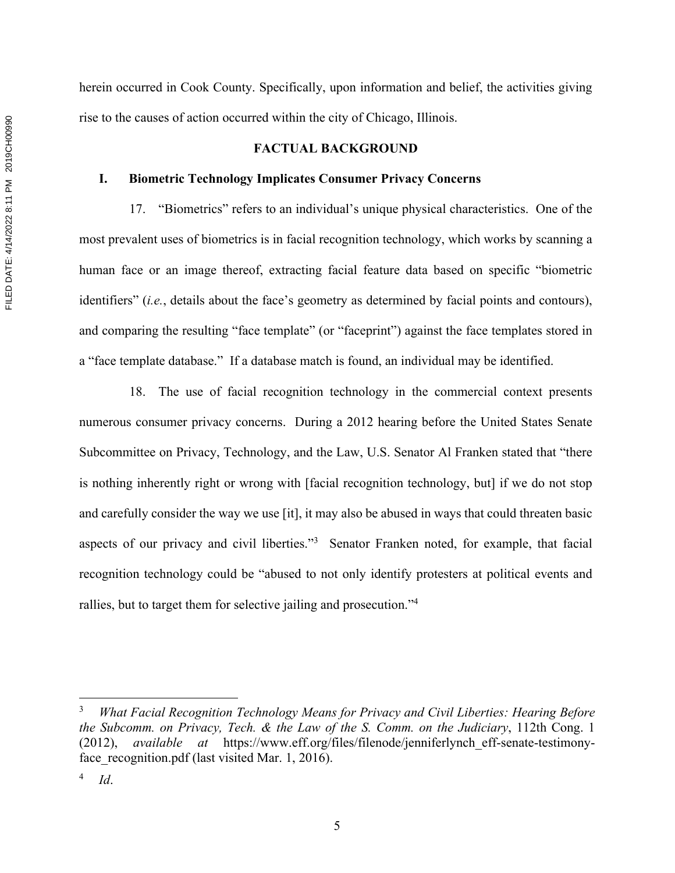herein occurred in Cook County. Specifically, upon information and belief, the activities giving rise to the causes of action occurred within the city of Chicago, Illinois.

## **FACTUAL BACKGROUND**

### **I. Biometric Technology Implicates Consumer Privacy Concerns**

17. "Biometrics" refers to an individual's unique physical characteristics. One of the most prevalent uses of biometrics is in facial recognition technology, which works by scanning a human face or an image thereof, extracting facial feature data based on specific "biometric identifiers" (*i.e.*, details about the face's geometry as determined by facial points and contours), and comparing the resulting "face template" (or "faceprint") against the face templates stored in a "face template database." If a database match is found, an individual may be identified.

18. The use of facial recognition technology in the commercial context presents numerous consumer privacy concerns. During a 2012 hearing before the United States Senate Subcommittee on Privacy, Technology, and the Law, U.S. Senator Al Franken stated that "there is nothing inherently right or wrong with [facial recognition technology, but] if we do not stop and carefully consider the way we use [it], it may also be abused in ways that could threaten basic aspects of our privacy and civil liberties."<sup>3</sup> Senator Franken noted, for example, that facial recognition technology could be "abused to not only identify protesters at political events and rallies, but to target them for selective jailing and prosecution."4

<sup>3</sup> *What Facial Recognition Technology Means for Privacy and Civil Liberties: Hearing Before the Subcomm. on Privacy, Tech. & the Law of the S. Comm. on the Judiciary*, 112th Cong. 1 (2012), *available at* https://www.eff.org/files/filenode/jenniferlynch\_eff-senate-testimonyface recognition.pdf (last visited Mar. 1, 2016).

<sup>4</sup> *Id*.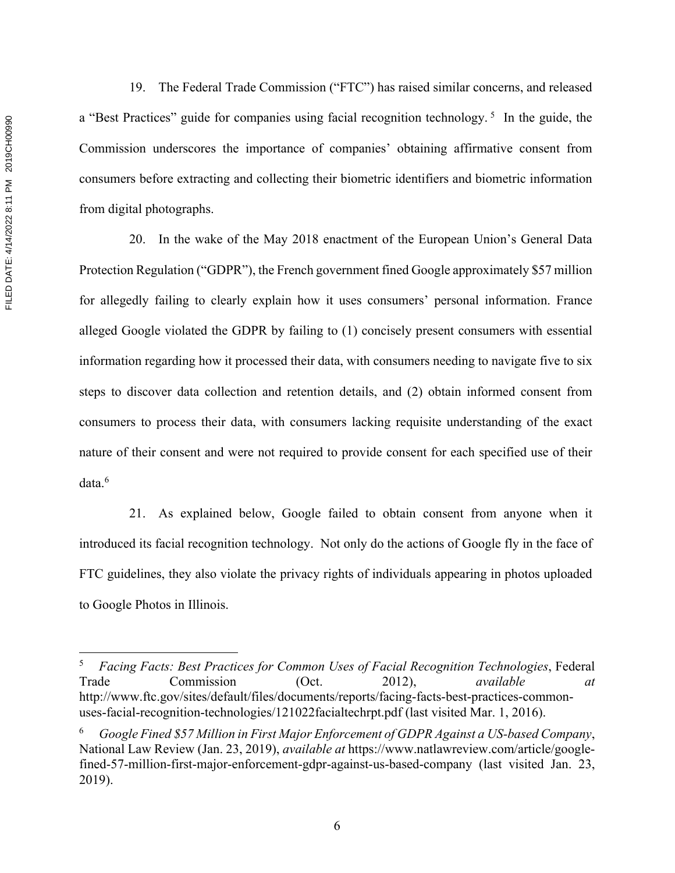FILED DATE: 4/14/2022 8:11 PM 2019CH00990 FILED DATE: 4/14/2022 8:11 PM 2019CH00990

19. The Federal Trade Commission ("FTC") has raised similar concerns, and released a "Best Practices" guide for companies using facial recognition technology.<sup>5</sup> In the guide, the Commission underscores the importance of companies' obtaining affirmative consent from consumers before extracting and collecting their biometric identifiers and biometric information from digital photographs.

20. In the wake of the May 2018 enactment of the European Union's General Data Protection Regulation ("GDPR"), the French government fined Google approximately \$57 million for allegedly failing to clearly explain how it uses consumers' personal information. France alleged Google violated the GDPR by failing to (1) concisely present consumers with essential information regarding how it processed their data, with consumers needing to navigate five to six steps to discover data collection and retention details, and (2) obtain informed consent from consumers to process their data, with consumers lacking requisite understanding of the exact nature of their consent and were not required to provide consent for each specified use of their data.<sup>6</sup>

21. As explained below, Google failed to obtain consent from anyone when it introduced its facial recognition technology. Not only do the actions of Google fly in the face of FTC guidelines, they also violate the privacy rights of individuals appearing in photos uploaded to Google Photos in Illinois.

<sup>5</sup> *Facing Facts: Best Practices for Common Uses of Facial Recognition Technologies*, Federal Trade Commission (Oct. 2012), *available at* http://www.ftc.gov/sites/default/files/documents/reports/facing-facts-best-practices-commonuses-facial-recognition-technologies/121022facialtechrpt.pdf (last visited Mar. 1, 2016).

<sup>6</sup> *Google Fined \$57 Million in First Major Enforcement of GDPR Against a US-based Company*, National Law Review (Jan. 23, 2019), *available at* https://www.natlawreview.com/article/googlefined-57-million-first-major-enforcement-gdpr-against-us-based-company (last visited Jan. 23, 2019).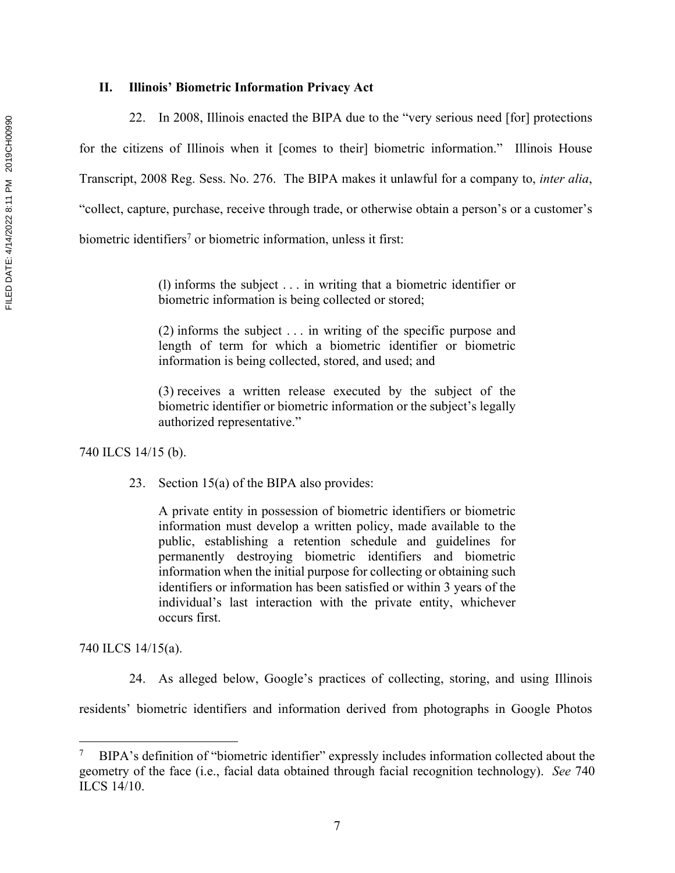22. In 2008, Illinois enacted the BIPA due to the "very serious need [for] protections for the citizens of Illinois when it [comes to their] biometric information." Illinois House Transcript, 2008 Reg. Sess. No. 276. The BIPA makes it unlawful for a company to, *inter alia*, "collect, capture, purchase, receive through trade, or otherwise obtain a person's or a customer's biometric identifiers<sup>7</sup> or biometric information, unless it first:

> (l) informs the subject . . . in writing that a biometric identifier or biometric information is being collected or stored;

> (2) informs the subject . . . in writing of the specific purpose and length of term for which a biometric identifier or biometric information is being collected, stored, and used; and

> (3) receives a written release executed by the subject of the biometric identifier or biometric information or the subject's legally authorized representative."

740 ILCS 14/15 (b).

23. Section 15(a) of the BIPA also provides:

A private entity in possession of biometric identifiers or biometric information must develop a written policy, made available to the public, establishing a retention schedule and guidelines for permanently destroying biometric identifiers and biometric information when the initial purpose for collecting or obtaining such identifiers or information has been satisfied or within 3 years of the individual's last interaction with the private entity, whichever occurs first.

740 ILCS 14/15(a).

24. As alleged below, Google's practices of collecting, storing, and using Illinois

residents' biometric identifiers and information derived from photographs in Google Photos

<sup>&</sup>lt;sup>7</sup> BIPA's definition of "biometric identifier" expressly includes information collected about the geometry of the face (i.e., facial data obtained through facial recognition technology). *See* 740 ILCS 14/10.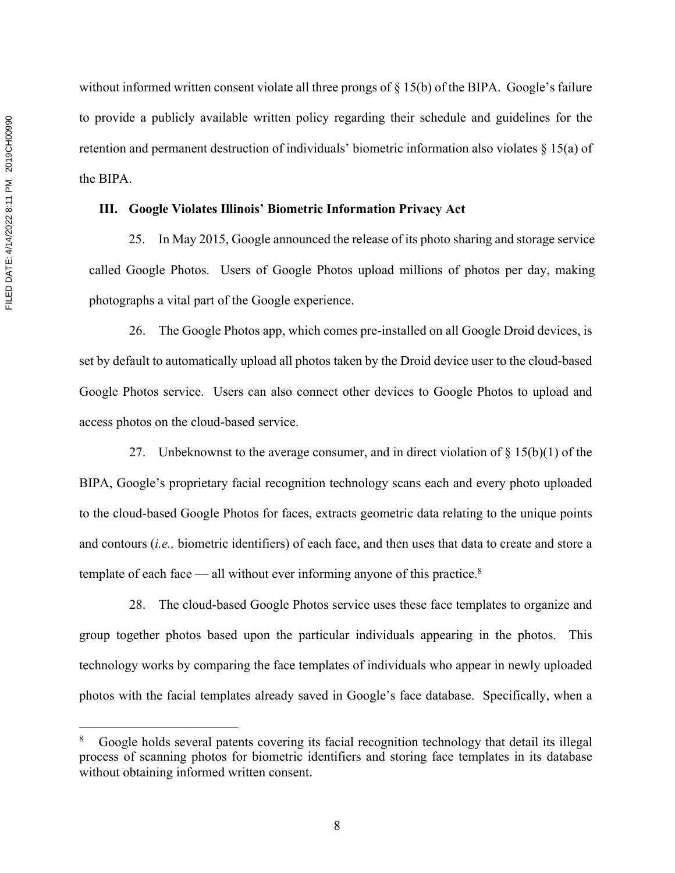without informed written consent violate all three prongs of § 15(b) of the BIPA. Google's failure to provide a publicly available written policy regarding their schedule and guidelines for the retention and permanent destruction of individuals' biometric information also violates § 15(a) of the BIPA.

## **III. Google Violates Illinois' Biometric Information Privacy Act**

25. In May 2015, Google announced the release of its photo sharing and storage service called Google Photos. Users of Google Photos upload millions of photos per day, making photographs a vital part of the Google experience.

26. The Google Photos app, which comes pre-installed on all Google Droid devices, is set by default to automatically upload all photos taken by the Droid device user to the cloud-based Google Photos service. Users can also connect other devices to Google Photos to upload and access photos on the cloud-based service.

27. Unbeknownst to the average consumer, and in direct violation of  $\S 15(b)(1)$  of the BIPA, Google's proprietary facial recognition technology scans each and every photo uploaded to the cloud-based Google Photos for faces, extracts geometric data relating to the unique points and contours (*i.e.,* biometric identifiers) of each face, and then uses that data to create and store a template of each face — all without ever informing anyone of this practice.<sup>8</sup>

28. The cloud-based Google Photos service uses these face templates to organize and group together photos based upon the particular individuals appearing in the photos. This technology works by comparing the face templates of individuals who appear in newly uploaded photos with the facial templates already saved in Google's face database. Specifically, when a

<sup>8</sup> Google holds several patents covering its facial recognition technology that detail its illegal process of scanning photos for biometric identifiers and storing face templates in its database without obtaining informed written consent.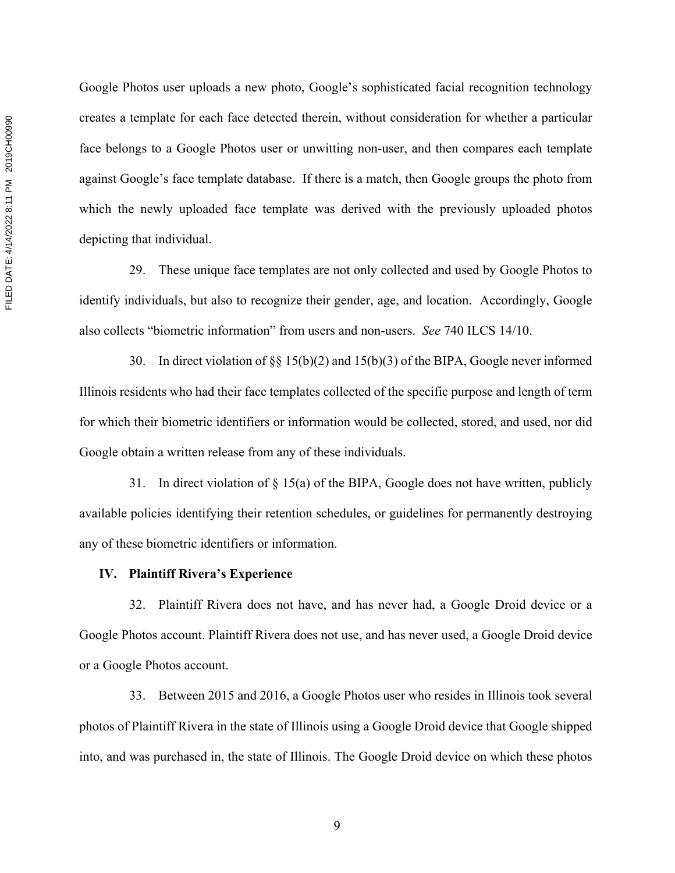Google Photos user uploads a new photo, Google's sophisticated facial recognition technology creates a template for each face detected therein, without consideration for whether a particular face belongs to a Google Photos user or unwitting non-user, and then compares each template against Google's face template database. If there is a match, then Google groups the photo from which the newly uploaded face template was derived with the previously uploaded photos depicting that individual.

29. These unique face templates are not only collected and used by Google Photos to identify individuals, but also to recognize their gender, age, and location. Accordingly, Google also collects "biometric information" from users and non-users. *See* 740 ILCS 14/10.

30. In direct violation of §§ 15(b)(2) and 15(b)(3) of the BIPA, Google never informed Illinois residents who had their face templates collected of the specific purpose and length of term for which their biometric identifiers or information would be collected, stored, and used, nor did Google obtain a written release from any of these individuals.

31. In direct violation of § 15(a) of the BIPA, Google does not have written, publicly available policies identifying their retention schedules, or guidelines for permanently destroying any of these biometric identifiers or information.

#### **IV. Plaintiff Rivera's Experience**

32. Plaintiff Rivera does not have, and has never had, a Google Droid device or a Google Photos account. Plaintiff Rivera does not use, and has never used, a Google Droid device or a Google Photos account.

33. Between 2015 and 2016, a Google Photos user who resides in Illinois took several photos of Plaintiff Rivera in the state of Illinois using a Google Droid device that Google shipped into, and was purchased in, the state of Illinois. The Google Droid device on which these photos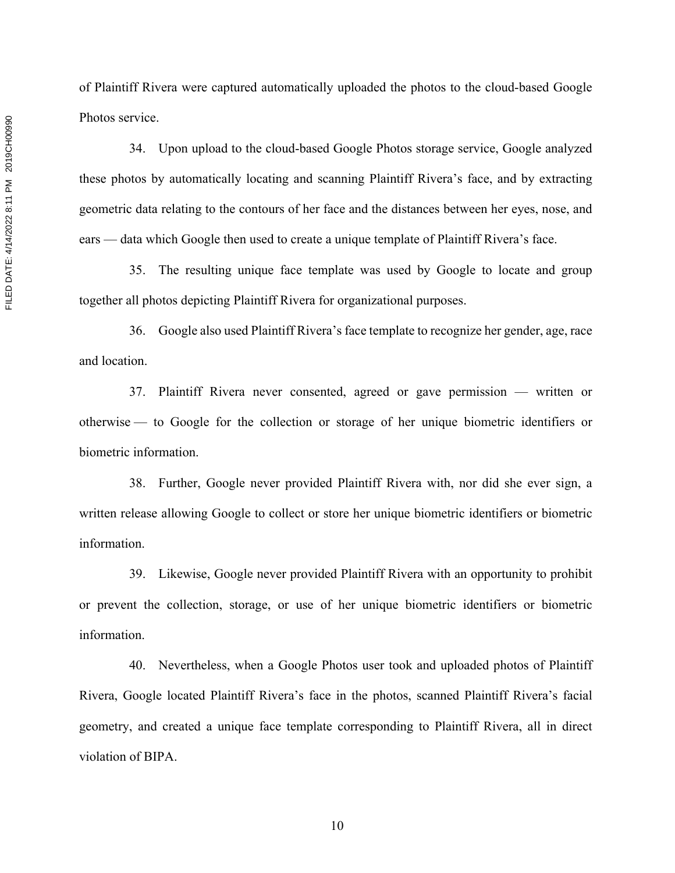of Plaintiff Rivera were captured automatically uploaded the photos to the cloud-based Google Photos service.

34. Upon upload to the cloud-based Google Photos storage service, Google analyzed these photos by automatically locating and scanning Plaintiff Rivera's face, and by extracting geometric data relating to the contours of her face and the distances between her eyes, nose, and ears — data which Google then used to create a unique template of Plaintiff Rivera's face.

35. The resulting unique face template was used by Google to locate and group together all photos depicting Plaintiff Rivera for organizational purposes.

36. Google also used Plaintiff Rivera's face template to recognize her gender, age, race and location.

37. Plaintiff Rivera never consented, agreed or gave permission — written or otherwise — to Google for the collection or storage of her unique biometric identifiers or biometric information.

38. Further, Google never provided Plaintiff Rivera with, nor did she ever sign, a written release allowing Google to collect or store her unique biometric identifiers or biometric information.

39. Likewise, Google never provided Plaintiff Rivera with an opportunity to prohibit or prevent the collection, storage, or use of her unique biometric identifiers or biometric information.

40. Nevertheless, when a Google Photos user took and uploaded photos of Plaintiff Rivera, Google located Plaintiff Rivera's face in the photos, scanned Plaintiff Rivera's facial geometry, and created a unique face template corresponding to Plaintiff Rivera, all in direct violation of BIPA.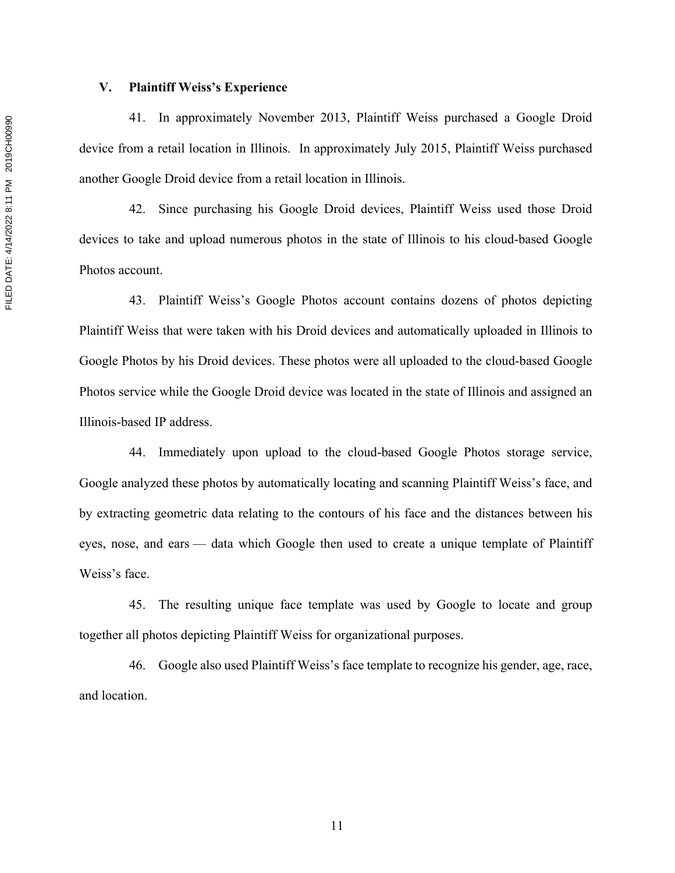## **V. Plaintiff Weiss's Experience**

41. In approximately November 2013, Plaintiff Weiss purchased a Google Droid device from a retail location in Illinois. In approximately July 2015, Plaintiff Weiss purchased another Google Droid device from a retail location in Illinois.

42. Since purchasing his Google Droid devices, Plaintiff Weiss used those Droid devices to take and upload numerous photos in the state of Illinois to his cloud-based Google Photos account.

43. Plaintiff Weiss's Google Photos account contains dozens of photos depicting Plaintiff Weiss that were taken with his Droid devices and automatically uploaded in Illinois to Google Photos by his Droid devices. These photos were all uploaded to the cloud-based Google Photos service while the Google Droid device was located in the state of Illinois and assigned an Illinois-based IP address.

44. Immediately upon upload to the cloud-based Google Photos storage service, Google analyzed these photos by automatically locating and scanning Plaintiff Weiss's face, and by extracting geometric data relating to the contours of his face and the distances between his eyes, nose, and ears — data which Google then used to create a unique template of Plaintiff Weiss's face.

45. The resulting unique face template was used by Google to locate and group together all photos depicting Plaintiff Weiss for organizational purposes.

46. Google also used Plaintiff Weiss's face template to recognize his gender, age, race, and location.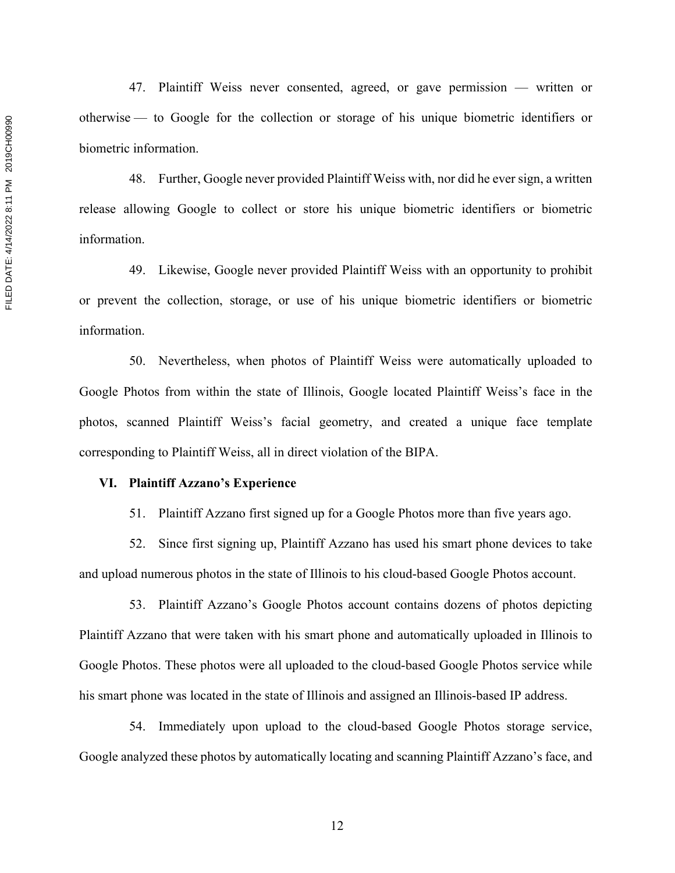47. Plaintiff Weiss never consented, agreed, or gave permission — written or otherwise — to Google for the collection or storage of his unique biometric identifiers or biometric information.

48. Further, Google never provided Plaintiff Weiss with, nor did he ever sign, a written release allowing Google to collect or store his unique biometric identifiers or biometric information.

49. Likewise, Google never provided Plaintiff Weiss with an opportunity to prohibit or prevent the collection, storage, or use of his unique biometric identifiers or biometric information.

50. Nevertheless, when photos of Plaintiff Weiss were automatically uploaded to Google Photos from within the state of Illinois, Google located Plaintiff Weiss's face in the photos, scanned Plaintiff Weiss's facial geometry, and created a unique face template corresponding to Plaintiff Weiss, all in direct violation of the BIPA.

#### **VI. Plaintiff Azzano's Experience**

51. Plaintiff Azzano first signed up for a Google Photos more than five years ago.

52. Since first signing up, Plaintiff Azzano has used his smart phone devices to take and upload numerous photos in the state of Illinois to his cloud-based Google Photos account.

53. Plaintiff Azzano's Google Photos account contains dozens of photos depicting Plaintiff Azzano that were taken with his smart phone and automatically uploaded in Illinois to Google Photos. These photos were all uploaded to the cloud-based Google Photos service while his smart phone was located in the state of Illinois and assigned an Illinois-based IP address.

54. Immediately upon upload to the cloud-based Google Photos storage service, Google analyzed these photos by automatically locating and scanning Plaintiff Azzano's face, and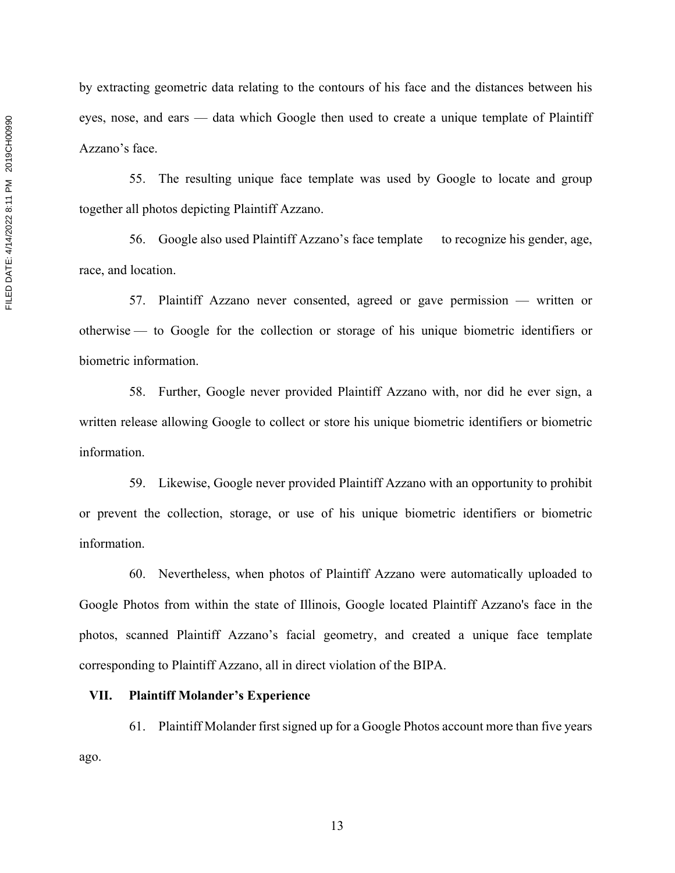by extracting geometric data relating to the contours of his face and the distances between his eyes, nose, and ears — data which Google then used to create a unique template of Plaintiff Azzano's face.

55. The resulting unique face template was used by Google to locate and group together all photos depicting Plaintiff Azzano.

56. Google also used Plaintiff Azzano's face template to recognize his gender, age, race, and location.

57. Plaintiff Azzano never consented, agreed or gave permission — written or otherwise — to Google for the collection or storage of his unique biometric identifiers or biometric information.

58. Further, Google never provided Plaintiff Azzano with, nor did he ever sign, a written release allowing Google to collect or store his unique biometric identifiers or biometric information.

59. Likewise, Google never provided Plaintiff Azzano with an opportunity to prohibit or prevent the collection, storage, or use of his unique biometric identifiers or biometric information.

60. Nevertheless, when photos of Plaintiff Azzano were automatically uploaded to Google Photos from within the state of Illinois, Google located Plaintiff Azzano's face in the photos, scanned Plaintiff Azzano's facial geometry, and created a unique face template corresponding to Plaintiff Azzano, all in direct violation of the BIPA.

### **VII. Plaintiff Molander's Experience**

61. Plaintiff Molander first signed up for a Google Photos account more than five years ago.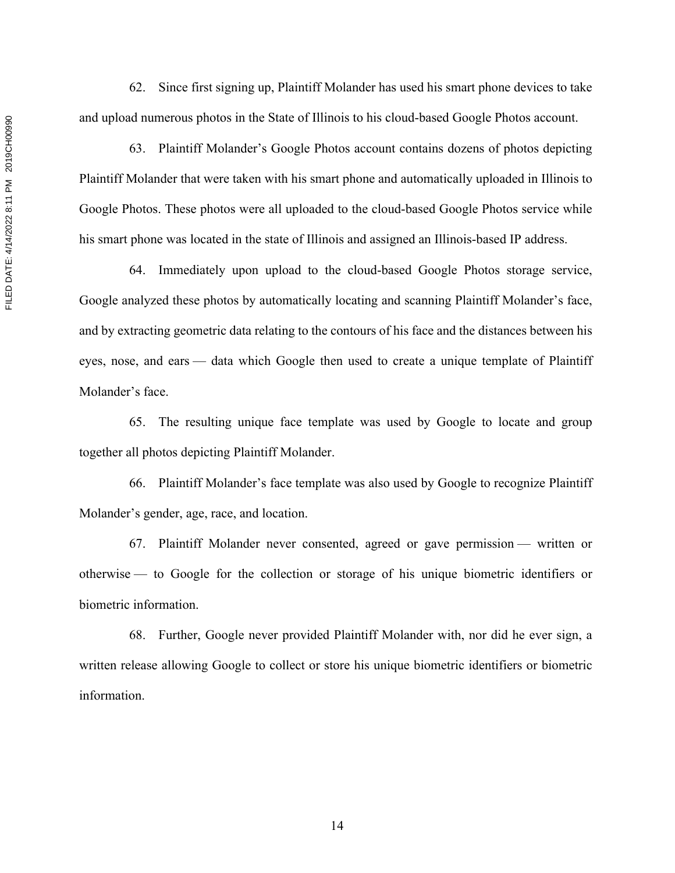FILED DATE: 4/14/2022 8:11 PM 2019CH00990 FILED DATE: 4/14/2022 8:11 PM 2019CH00990

62. Since first signing up, Plaintiff Molander has used his smart phone devices to take and upload numerous photos in the State of Illinois to his cloud-based Google Photos account.

63. Plaintiff Molander's Google Photos account contains dozens of photos depicting Plaintiff Molander that were taken with his smart phone and automatically uploaded in Illinois to Google Photos. These photos were all uploaded to the cloud-based Google Photos service while his smart phone was located in the state of Illinois and assigned an Illinois-based IP address.

64. Immediately upon upload to the cloud-based Google Photos storage service, Google analyzed these photos by automatically locating and scanning Plaintiff Molander's face, and by extracting geometric data relating to the contours of his face and the distances between his eyes, nose, and ears — data which Google then used to create a unique template of Plaintiff Molander's face.

65. The resulting unique face template was used by Google to locate and group together all photos depicting Plaintiff Molander.

66. Plaintiff Molander's face template was also used by Google to recognize Plaintiff Molander's gender, age, race, and location.

67. Plaintiff Molander never consented, agreed or gave permission — written or otherwise — to Google for the collection or storage of his unique biometric identifiers or biometric information.

68. Further, Google never provided Plaintiff Molander with, nor did he ever sign, a written release allowing Google to collect or store his unique biometric identifiers or biometric information.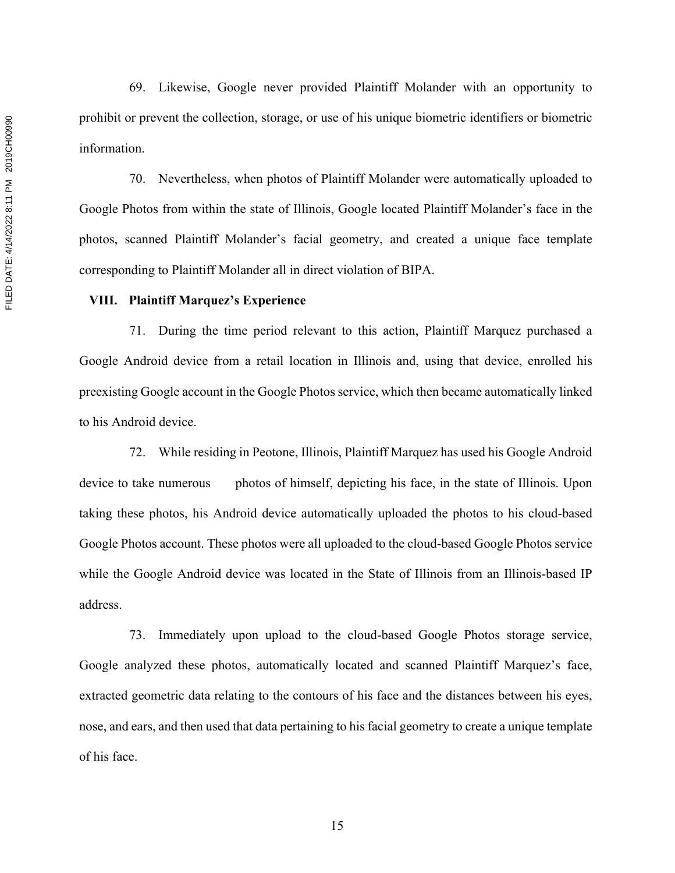69. Likewise, Google never provided Plaintiff Molander with an opportunity to prohibit or prevent the collection, storage, or use of his unique biometric identifiers or biometric information.

70. Nevertheless, when photos of Plaintiff Molander were automatically uploaded to Google Photos from within the state of Illinois, Google located Plaintiff Molander's face in the photos, scanned Plaintiff Molander's facial geometry, and created a unique face template corresponding to Plaintiff Molander all in direct violation of BIPA.

### **VIII. Plaintiff Marquez's Experience**

71. During the time period relevant to this action, Plaintiff Marquez purchased a Google Android device from a retail location in Illinois and, using that device, enrolled his preexisting Google account in the Google Photos service, which then became automatically linked to his Android device.

72. While residing in Peotone, Illinois, Plaintiff Marquez has used his Google Android device to take numerous photos of himself, depicting his face, in the state of Illinois. Upon taking these photos, his Android device automatically uploaded the photos to his cloud-based Google Photos account. These photos were all uploaded to the cloud-based Google Photos service while the Google Android device was located in the State of Illinois from an Illinois-based IP address.

73. Immediately upon upload to the cloud-based Google Photos storage service, Google analyzed these photos, automatically located and scanned Plaintiff Marquez's face, extracted geometric data relating to the contours of his face and the distances between his eyes, nose, and ears, and then used that data pertaining to his facial geometry to create a unique template of his face.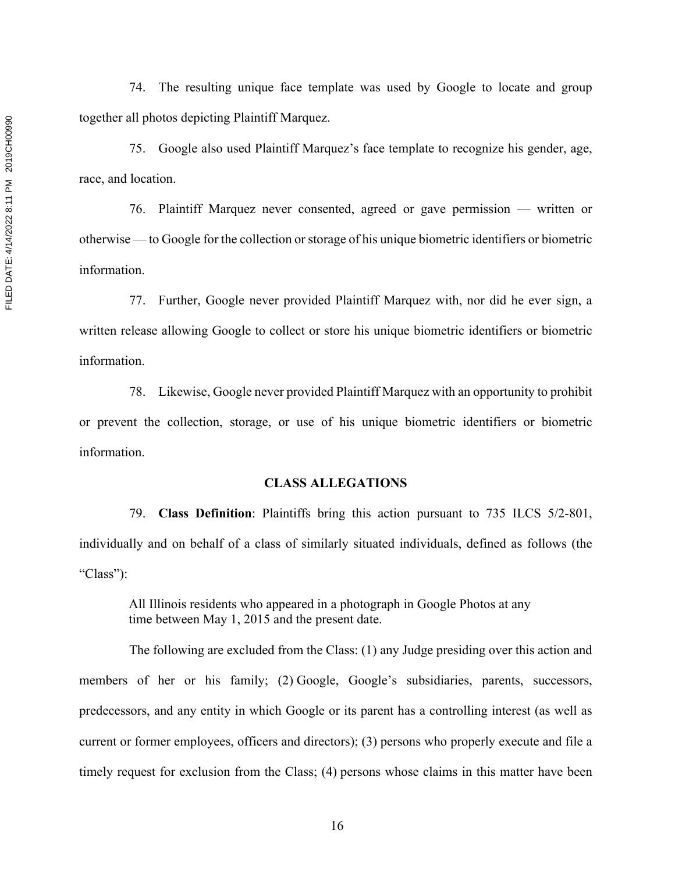74. The resulting unique face template was used by Google to locate and group together all photos depicting Plaintiff Marquez.

75. Google also used Plaintiff Marquez's face template to recognize his gender, age, race, and location.

76. Plaintiff Marquez never consented, agreed or gave permission — written or otherwise — to Google for the collection or storage of his unique biometric identifiers or biometric information.

77. Further, Google never provided Plaintiff Marquez with, nor did he ever sign, a written release allowing Google to collect or store his unique biometric identifiers or biometric information.

78. Likewise, Google never provided Plaintiff Marquez with an opportunity to prohibit or prevent the collection, storage, or use of his unique biometric identifiers or biometric information.

## **CLASS ALLEGATIONS**

79. **Class Definition**: Plaintiffs bring this action pursuant to 735 ILCS 5/2-801, individually and on behalf of a class of similarly situated individuals, defined as follows (the "Class"):

All Illinois residents who appeared in a photograph in Google Photos at any time between May 1, 2015 and the present date.

The following are excluded from the Class: (1) any Judge presiding over this action and members of her or his family; (2) Google, Google's subsidiaries, parents, successors, predecessors, and any entity in which Google or its parent has a controlling interest (as well as current or former employees, officers and directors); (3) persons who properly execute and file a timely request for exclusion from the Class; (4) persons whose claims in this matter have been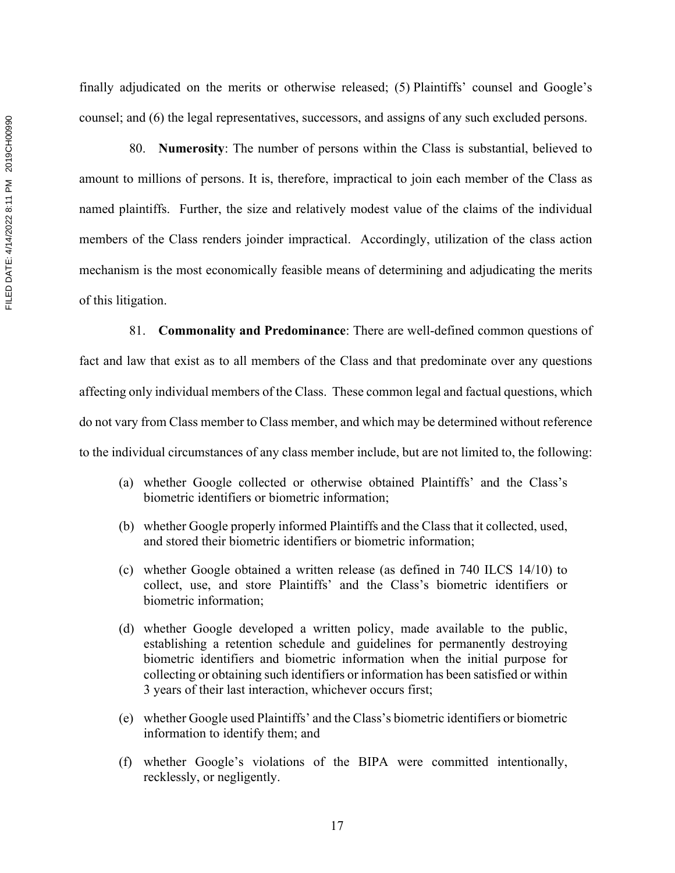finally adjudicated on the merits or otherwise released; (5) Plaintiffs' counsel and Google's counsel; and (6) the legal representatives, successors, and assigns of any such excluded persons.

80. **Numerosity**: The number of persons within the Class is substantial, believed to amount to millions of persons. It is, therefore, impractical to join each member of the Class as named plaintiffs. Further, the size and relatively modest value of the claims of the individual members of the Class renders joinder impractical. Accordingly, utilization of the class action mechanism is the most economically feasible means of determining and adjudicating the merits of this litigation.

81. **Commonality and Predominance**: There are well-defined common questions of fact and law that exist as to all members of the Class and that predominate over any questions affecting only individual members of the Class. These common legal and factual questions, which do not vary from Class member to Class member, and which may be determined without reference to the individual circumstances of any class member include, but are not limited to, the following:

- (a) whether Google collected or otherwise obtained Plaintiffs' and the Class's biometric identifiers or biometric information;
- (b) whether Google properly informed Plaintiffs and the Class that it collected, used, and stored their biometric identifiers or biometric information;
- (c) whether Google obtained a written release (as defined in 740 ILCS 14/10) to collect, use, and store Plaintiffs' and the Class's biometric identifiers or biometric information;
- (d) whether Google developed a written policy, made available to the public, establishing a retention schedule and guidelines for permanently destroying biometric identifiers and biometric information when the initial purpose for collecting or obtaining such identifiers or information has been satisfied or within 3 years of their last interaction, whichever occurs first;
- (e) whether Google used Plaintiffs' and the Class's biometric identifiers or biometric information to identify them; and
- (f) whether Google's violations of the BIPA were committed intentionally, recklessly, or negligently.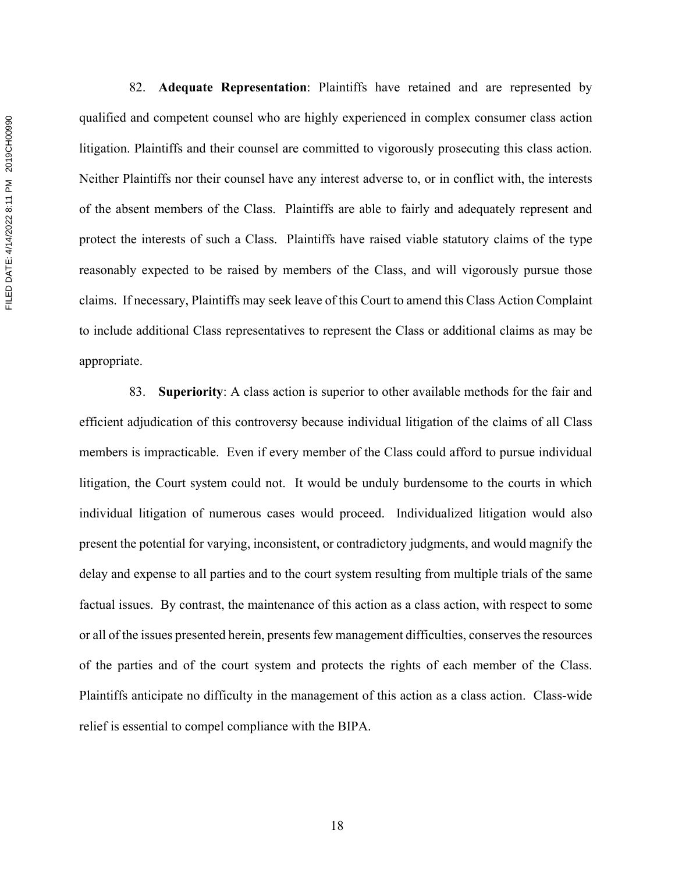82. **Adequate Representation**: Plaintiffs have retained and are represented by qualified and competent counsel who are highly experienced in complex consumer class action litigation. Plaintiffs and their counsel are committed to vigorously prosecuting this class action. Neither Plaintiffs nor their counsel have any interest adverse to, or in conflict with, the interests of the absent members of the Class. Plaintiffs are able to fairly and adequately represent and protect the interests of such a Class. Plaintiffs have raised viable statutory claims of the type reasonably expected to be raised by members of the Class, and will vigorously pursue those claims. If necessary, Plaintiffs may seek leave of this Court to amend this Class Action Complaint to include additional Class representatives to represent the Class or additional claims as may be appropriate.

83. **Superiority**: A class action is superior to other available methods for the fair and efficient adjudication of this controversy because individual litigation of the claims of all Class members is impracticable. Even if every member of the Class could afford to pursue individual litigation, the Court system could not. It would be unduly burdensome to the courts in which individual litigation of numerous cases would proceed. Individualized litigation would also present the potential for varying, inconsistent, or contradictory judgments, and would magnify the delay and expense to all parties and to the court system resulting from multiple trials of the same factual issues. By contrast, the maintenance of this action as a class action, with respect to some or all of the issues presented herein, presents few management difficulties, conserves the resources of the parties and of the court system and protects the rights of each member of the Class. Plaintiffs anticipate no difficulty in the management of this action as a class action. Class-wide relief is essential to compel compliance with the BIPA.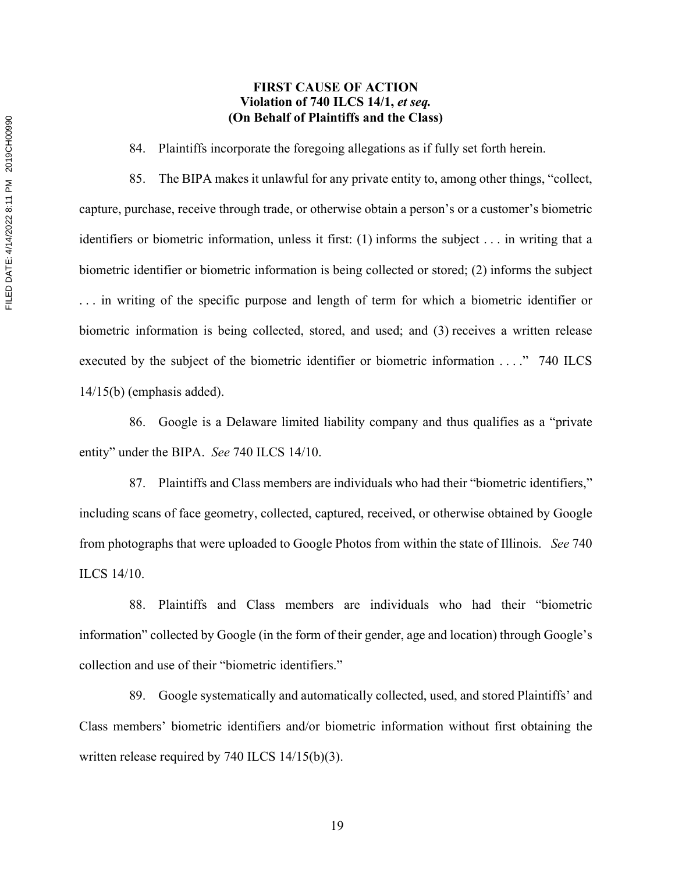# **FIRST CAUSE OF ACTION Violation of 740 ILCS 14/1,** *et seq.* **(On Behalf of Plaintiffs and the Class)**

84. Plaintiffs incorporate the foregoing allegations as if fully set forth herein.

85. The BIPA makes it unlawful for any private entity to, among other things, "collect, capture, purchase, receive through trade, or otherwise obtain a person's or a customer's biometric identifiers or biometric information, unless it first: (1) informs the subject . . . in writing that a biometric identifier or biometric information is being collected or stored; (2) informs the subject . . . in writing of the specific purpose and length of term for which a biometric identifier or biometric information is being collected, stored, and used; and (3) receives a written release executed by the subject of the biometric identifier or biometric information . . . ." 740 ILCS 14/15(b) (emphasis added).

86. Google is a Delaware limited liability company and thus qualifies as a "private entity" under the BIPA. *See* 740 ILCS 14/10.

87. Plaintiffs and Class members are individuals who had their "biometric identifiers," including scans of face geometry, collected, captured, received, or otherwise obtained by Google from photographs that were uploaded to Google Photos from within the state of Illinois. *See* 740 ILCS 14/10.

88. Plaintiffs and Class members are individuals who had their "biometric information" collected by Google (in the form of their gender, age and location) through Google's collection and use of their "biometric identifiers."

89. Google systematically and automatically collected, used, and stored Plaintiffs' and Class members' biometric identifiers and/or biometric information without first obtaining the written release required by 740 ILCS 14/15(b)(3).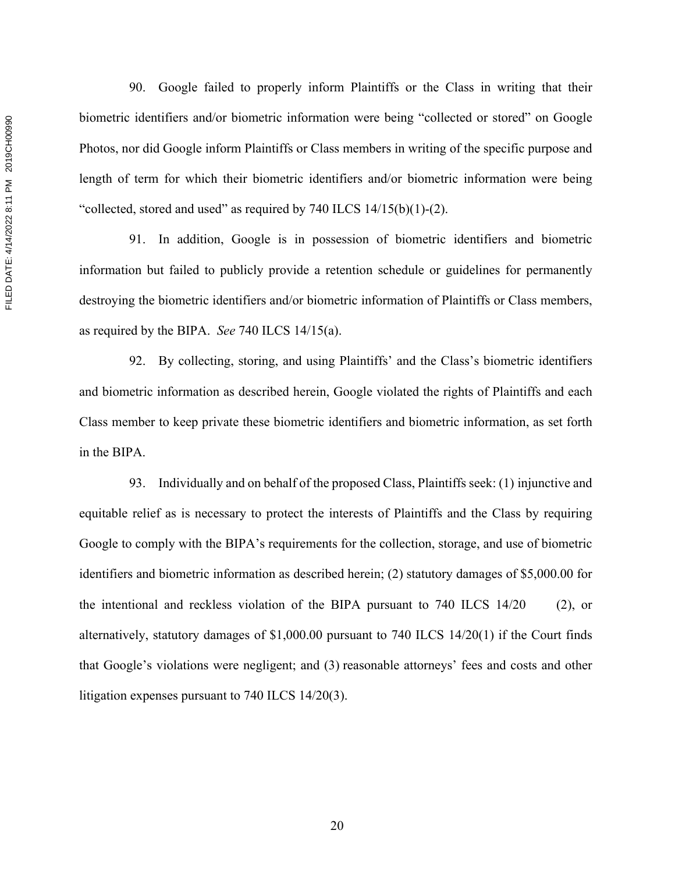90. Google failed to properly inform Plaintiffs or the Class in writing that their biometric identifiers and/or biometric information were being "collected or stored" on Google Photos, nor did Google inform Plaintiffs or Class members in writing of the specific purpose and length of term for which their biometric identifiers and/or biometric information were being "collected, stored and used" as required by  $740$  ILCS  $14/15(b)(1)-(2)$ .

91. In addition, Google is in possession of biometric identifiers and biometric information but failed to publicly provide a retention schedule or guidelines for permanently destroying the biometric identifiers and/or biometric information of Plaintiffs or Class members, as required by the BIPA. *See* 740 ILCS 14/15(a).

92. By collecting, storing, and using Plaintiffs' and the Class's biometric identifiers and biometric information as described herein, Google violated the rights of Plaintiffs and each Class member to keep private these biometric identifiers and biometric information, as set forth in the BIPA.

93. Individually and on behalf of the proposed Class, Plaintiffs seek: (1) injunctive and equitable relief as is necessary to protect the interests of Plaintiffs and the Class by requiring Google to comply with the BIPA's requirements for the collection, storage, and use of biometric identifiers and biometric information as described herein; (2) statutory damages of \$5,000.00 for the intentional and reckless violation of the BIPA pursuant to 740 ILCS 14/20 (2), or alternatively, statutory damages of \$1,000.00 pursuant to 740 ILCS 14/20(1) if the Court finds that Google's violations were negligent; and (3) reasonable attorneys' fees and costs and other litigation expenses pursuant to 740 ILCS 14/20(3).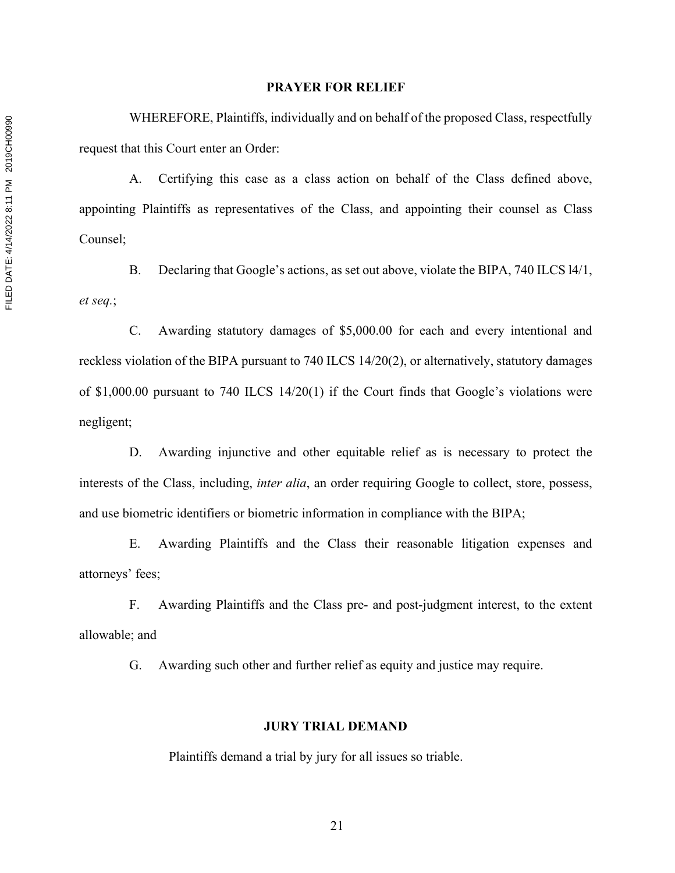### **PRAYER FOR RELIEF**

WHEREFORE, Plaintiffs, individually and on behalf of the proposed Class, respectfully request that this Court enter an Order:

A. Certifying this case as a class action on behalf of the Class defined above, appointing Plaintiffs as representatives of the Class, and appointing their counsel as Class Counsel;

B. Declaring that Google's actions, as set out above, violate the BIPA, 740 ILCS l4/1, *et seq.*;

C. Awarding statutory damages of \$5,000.00 for each and every intentional and reckless violation of the BIPA pursuant to 740 ILCS 14/20(2), or alternatively, statutory damages of \$1,000.00 pursuant to 740 ILCS 14/20(1) if the Court finds that Google's violations were negligent;

D. Awarding injunctive and other equitable relief as is necessary to protect the interests of the Class, including, *inter alia*, an order requiring Google to collect, store, possess, and use biometric identifiers or biometric information in compliance with the BIPA;

E. Awarding Plaintiffs and the Class their reasonable litigation expenses and attorneys' fees;

F. Awarding Plaintiffs and the Class pre- and post-judgment interest, to the extent allowable; and

G. Awarding such other and further relief as equity and justice may require.

## **JURY TRIAL DEMAND**

Plaintiffs demand a trial by jury for all issues so triable.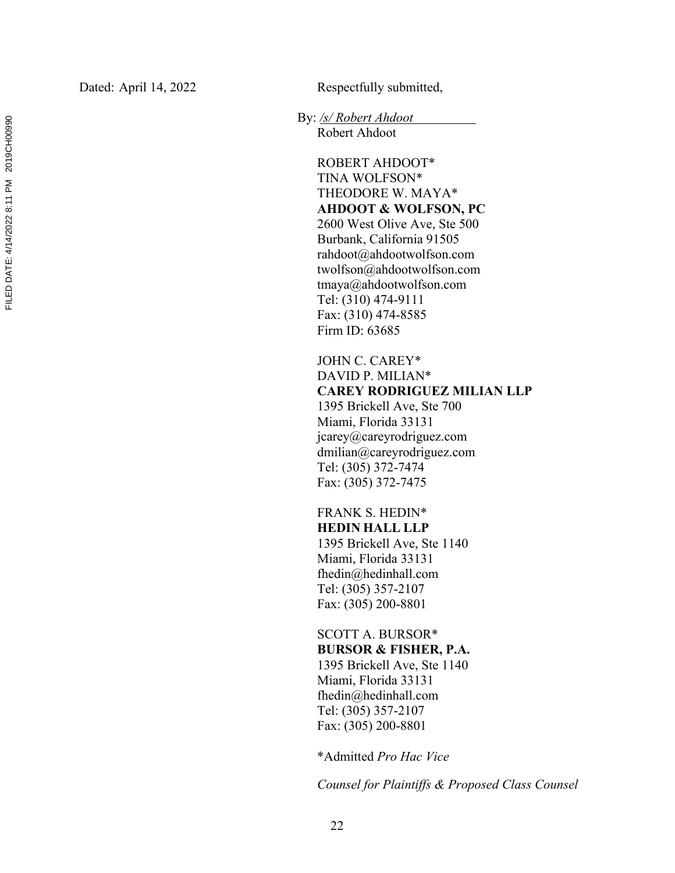Dated: April 14, 2022 Respectfully submitted,

By: */s/ Robert Ahdoot*

Robert Ahdoot

ROBERT AHDOOT\* TINA WOLFSON\* THEODORE W. MAYA\* **AHDOOT & WOLFSON, PC** 2600 West Olive Ave, Ste 500 Burbank, California 91505 rahdoot@ahdootwolfson.com twolfson@ahdootwolfson.com tmaya@ahdootwolfson.com Tel: (310) 474 -9111 Fax: (310) 474 -8585 Firm ID: 63685

JOHN C. CAREY\* DAVID P. MILIAN\* **CAREY RODRIGUEZ MILIAN LLP** 1395 Brickell Ave, Ste 700 Miami, Florida 33131 jcarey@careyrodriguez.com dmilian@careyrodriguez.com Tel: (305) 372 -7474 Fax: (305) 372 -7475

FRANK S. HEDIN\* **HEDIN HALL LLP** 1395 Brickell Ave, Ste 1140 Miami, Florida 33131 fhedin@hedinhall.com Tel: (305) 357 -2107 Fax: (305) 200 -8801

SCOTT A. BURSOR\* **BURSOR & FISHER, P.A.** 1395 Brickell Ave, Ste 1140 Miami, Florida 33131

fhedin@hedinhall.com Tel: (305) 357 -2107 Fax: (305) 200 -8801

\*Admitted *Pro Hac Vice*

*Counsel for Plaintiffs & Proposed Class Counsel*